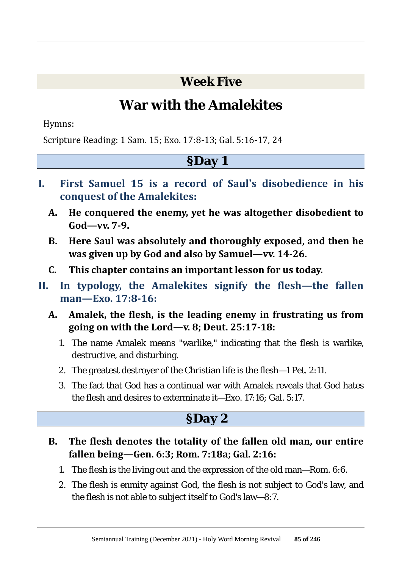**Week Five**

# **War with the Amalekites**

Hymns:

Scripture Reading: 1 Sam. 15; Exo. 17:8-13; Gal. 5:16-17, 24

#### **§Day 1**

- **I. First Samuel 15 is a record of Saul's disobedience in his conquest of the Amalekites:**
	- **A. He conquered the enemy, yet he was altogether disobedient to God—vv. 7-9.**
	- **B. Here Saul was absolutely and thoroughly exposed, and then he was given up by God and also by Samuel—vv. 14-26.**
	- **C. This chapter contains an important lesson for us today.**
- **II. In typology, the Amalekites signify the flesh—the fallen man—Exo. 17:8-16:**
	- **A. Amalek, the flesh, is the leading enemy in frustrating us from going on with the Lord—v. 8; Deut. 25:17-18:**
		- 1. The name Amalek means "warlike," indicating that the flesh is warlike, destructive, and disturbing.
		- 2. The greatest destroyer of the Christian life is the flesh—1 Pet. 2:11.
		- 3. The fact that God has a continual war with Amalek reveals that God hates the flesh and desires to exterminate it—Exo. 17:16; Gal. 5:17.

### **§Day 2**

- **B. The flesh denotes the totality of the fallen old man, our entire fallen being—Gen. 6:3; Rom. 7:18a; Gal. 2:16:**
	- 1. The flesh is the living out and the expression of the old man—Rom. 6:6.
	- 2. The flesh is enmity against God, the flesh is not subject to God's law, and the flesh is not able to subject itself to God's law—8:7.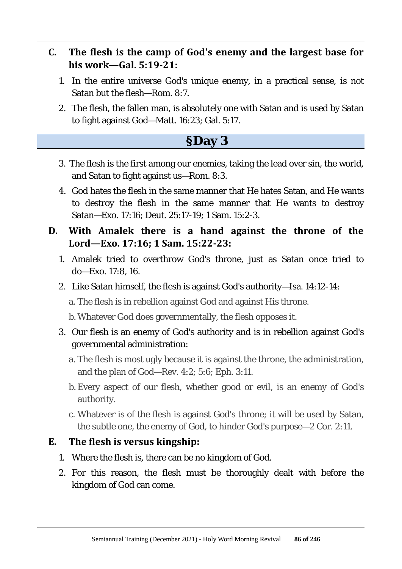#### **C. The flesh is the camp of God's enemy and the largest base for his work—Gal. 5:19-21:**

- 1. In the entire universe God's unique enemy, in a practical sense, is not Satan but the flesh—Rom. 8:7.
- 2. The flesh, the fallen man, is absolutely one with Satan and is used by Satan to fight against God—Matt. 16:23; Gal. 5:17.

### **§Day 3**

- 3. The flesh is the first among our enemies, taking the lead over sin, the world, and Satan to fight against us—Rom. 8:3.
- 4. God hates the flesh in the same manner that He hates Satan, and He wants to destroy the flesh in the same manner that He wants to destroy Satan—Exo. 17:16; Deut. 25:17-19; 1 Sam. 15:2-3.
- **D. With Amalek there is a hand against the throne of the Lord—Exo. 17:16; 1 Sam. 15:22-23:**
	- 1. Amalek tried to overthrow God's throne, just as Satan once tried to do—Exo. 17:8, 16.
	- 2. Like Satan himself, the flesh is against God's authority—Isa. 14:12-14:

a. The flesh is in rebellion against God and against His throne.

b. Whatever God does governmentally, the flesh opposes it.

- 3. Our flesh is an enemy of God's authority and is in rebellion against God's governmental administration:
	- a. The flesh is most ugly because it is against the throne, the administration, and the plan of God—Rev. 4:2; 5:6; Eph. 3:11.
	- b. Every aspect of our flesh, whether good or evil, is an enemy of God's authority.
	- c. Whatever is of the flesh is against God's throne; it will be used by Satan, the subtle one, the enemy of God, to hinder God's purpose—2 Cor. 2:11.

#### **E. The flesh is versus kingship:**

- 1. Where the flesh is, there can be no kingdom of God.
- 2. For this reason, the flesh must be thoroughly dealt with before the kingdom of God can come.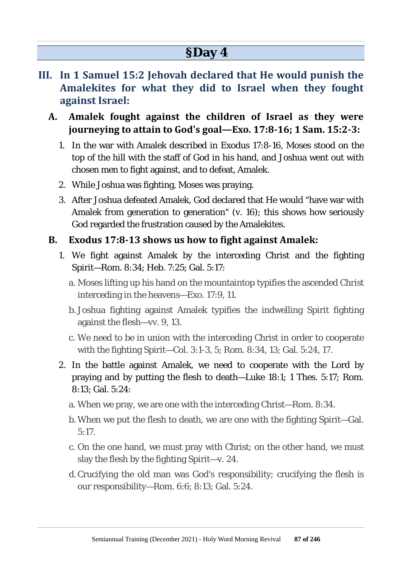- **III. In 1 Samuel 15:2 Jehovah declared that He would punish the Amalekites for what they did to Israel when they fought against Israel:**
	- **A. Amalek fought against the children of Israel as they were journeying to attain to God's goal—Exo. 17:8-16; 1 Sam. 15:2-3:**
		- 1. In the war with Amalek described in Exodus 17:8-16, Moses stood on the top of the hill with the staff of God in his hand, and Joshua went out with chosen men to fight against, and to defeat, Amalek.
		- 2. While Joshua was fighting, Moses was praying.
		- 3. After Joshua defeated Amalek, God declared that He would "have war with Amalek from generation to generation" (v. 16); this shows how seriously God regarded the frustration caused by the Amalekites.

#### **B. Exodus 17:8-13 shows us how to fight against Amalek:**

- 1. We fight against Amalek by the interceding Christ and the fighting Spirit—Rom. 8:34; Heb. 7:25; Gal. 5:17:
	- a. Moses lifting up his hand on the mountaintop typifies the ascended Christ interceding in the heavens—Exo. 17:9, 11.
	- b. Joshua fighting against Amalek typifies the indwelling Spirit fighting against the flesh—vv. 9, 13.
	- c. We need to be in union with the interceding Christ in order to cooperate with the fighting Spirit—Col. 3:1-3, 5; Rom. 8:34, 13; Gal. 5:24, 17.
- 2. In the battle against Amalek, we need to cooperate with the Lord by praying and by putting the flesh to death—Luke 18:1; 1 Thes. 5:17; Rom. 8:13; Gal. 5:24:
	- a. When we pray, we are one with the interceding Christ—Rom. 8:34.
	- b. When we put the flesh to death, we are one with the fighting Spirit—Gal. 5:17.
	- c. On the one hand, we must pray with Christ; on the other hand, we must slay the flesh by the fighting Spirit—v. 24.
	- d.Crucifying the old man was God's responsibility; crucifying the flesh is our responsibility—Rom. 6:6; 8:13; Gal. 5:24.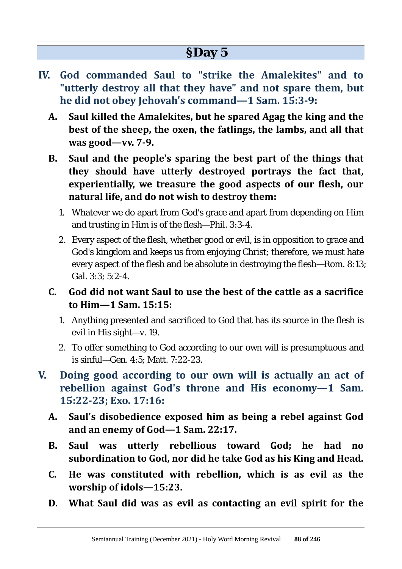- **IV. God commanded Saul to "strike the Amalekites" and to "utterly destroy all that they have" and not spare them, but he did not obey Jehovah's command—1 Sam. 15:3-9:**
	- **A. Saul killed the Amalekites, but he spared Agag the king and the best of the sheep, the oxen, the fatlings, the lambs, and all that was good—vv. 7-9.**
	- **B. Saul and the people's sparing the best part of the things that they should have utterly destroyed portrays the fact that, experientially, we treasure the good aspects of our flesh, our natural life, and do not wish to destroy them:**
		- 1. Whatever we do apart from God's grace and apart from depending on Him and trusting in Him is of the flesh—Phil. 3:3-4.
		- 2. Every aspect of the flesh, whether good or evil, is in opposition to grace and God's kingdom and keeps us from enjoying Christ; therefore, we must hate every aspect of the flesh and be absolute in destroying the flesh—Rom. 8:13; Gal. 3:3; 5:2-4.
	- **C. God did not want Saul to use the best of the cattle as a sacrifice to Him—1 Sam. 15:15:**
		- 1. Anything presented and sacrificed to God that has its source in the flesh is evil in His sight—v. 19.
		- 2. To offer something to God according to our own will is presumptuous and is sinful—Gen.  $4.5$ ; Matt.  $7.22-23$ .
- **V. Doing good according to our own will is actually an act of rebellion against God's throne and His economy—1 Sam. 15:22-23; Exo. 17:16:**
	- **A. Saul's disobedience exposed him as being a rebel against God and an enemy of God—1 Sam. 22:17.**
	- **B. Saul was utterly rebellious toward God; he had no subordination to God, nor did he take God as his King and Head.**
	- **C. He was constituted with rebellion, which is as evil as the worship of idols—15:23.**
	- **D. What Saul did was as evil as contacting an evil spirit for the**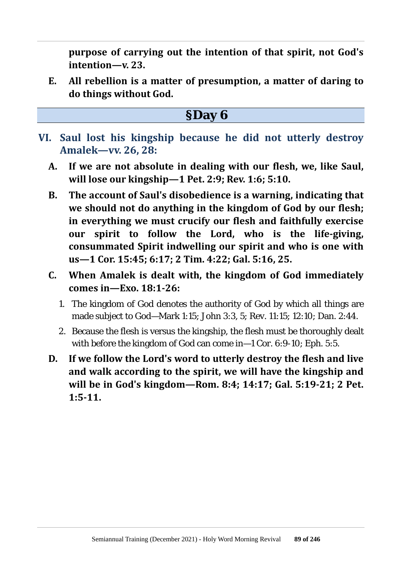**purpose of carrying out the intention of that spirit, not God's intention—v. 23.**

- **E. All rebellion is a matter of presumption, a matter of daring to do things without God.**
	- **§Day 6**
- **VI. Saul lost his kingship because he did not utterly destroy Amalek—vv. 26, 28:**
	- **A. If we are not absolute in dealing with our flesh, we, like Saul, will lose our kingship—1 Pet. 2:9; Rev. 1:6; 5:10.**
	- **B. The account of Saul's disobedience is a warning, indicating that we should not do anything in the kingdom of God by our flesh; in everything we must crucify our flesh and faithfully exercise our spirit to follow the Lord, who is the life-giving, consummated Spirit indwelling our spirit and who is one with us—1 Cor. 15:45; 6:17; 2 Tim. 4:22; Gal. 5:16, 25.**
	- **C. When Amalek is dealt with, the kingdom of God immediately comes in—Exo. 18:1-26:**
		- 1. The kingdom of God denotes the authority of God by which all things are made subject to God—Mark 1:15; John 3:3, 5; Rev. 11:15; 12:10; Dan. 2:44.
		- 2. Because the flesh is versus the kingship, the flesh must be thoroughly dealt with before the kingdom of God can come in—1 Cor. 6:9-10; Eph. 5:5.
	- **D. If we follow the Lord's word to utterly destroy the flesh and live and walk according to the spirit, we will have the kingship and will be in God's kingdom—Rom. 8:4; 14:17; Gal. 5:19-21; 2 Pet. 1:5-11.**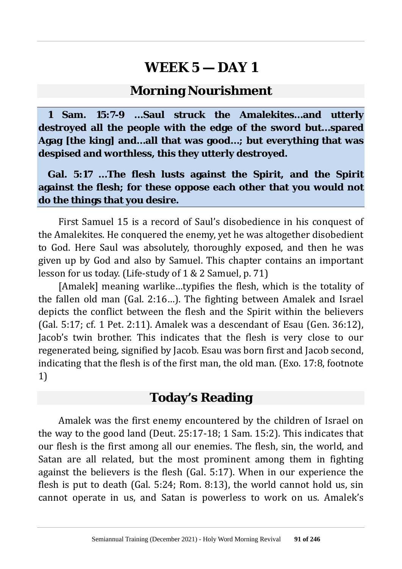#### **Morning Nourishment**

**1 Sam. 15:7-9 …Saul struck the Amalekites…and utterly destroyed all the people with the edge of the sword but…spared Agag [the king] and…all that was good…; but everything that was despised and worthless, this they utterly destroyed.**

**Gal. 5:17 …The flesh lusts against the Spirit, and the Spirit against the flesh; for these oppose each other that you would not do the things that you desire.**

First Samuel 15 is a record of Saul's disobedience in his conquest of the Amalekites. He conquered the enemy, yet he was altogether disobedient to God. Here Saul was absolutely, thoroughly exposed, and then he was given up by God and also by Samuel. This chapter contains an important lesson for us today. (Life-study of 1 & 2 Samuel, p. 71)

[Amalek] meaning warlike…typifies the flesh, which is the totality of the fallen old man (Gal. 2:16…). The fighting between Amalek and Israel depicts the conflict between the flesh and the Spirit within the believers (Gal. 5:17; cf. 1 Pet. 2:11). Amalek was a descendant of Esau (Gen. 36:12), Jacob's twin brother. This indicates that the flesh is very close to our regenerated being, signified by Jacob. Esau was born first and Jacob second, indicating that the flesh is of the first man, the old man. (Exo. 17:8, footnote 1)

### **Today's Reading**

Amalek was the first enemy encountered by the children of Israel on the way to the good land (Deut. 25:17-18; 1 Sam. 15:2). This indicates that our flesh is the first among all our enemies. The flesh, sin, the world, and Satan are all related, but the most prominent among them in fighting against the believers is the flesh (Gal. 5:17). When in our experience the flesh is put to death (Gal. 5:24; Rom. 8:13), the world cannot hold us, sin cannot operate in us, and Satan is powerless to work on us. Amalek's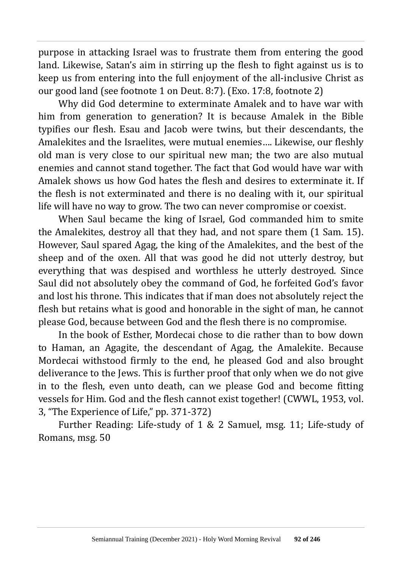purpose in attacking Israel was to frustrate them from entering the good land. Likewise, Satan's aim in stirring up the flesh to fight against us is to keep us from entering into the full enjoyment of the all-inclusive Christ as our good land (see footnote 1 on Deut. 8:7). (Exo. 17:8, footnote 2)

Why did God determine to exterminate Amalek and to have war with him from generation to generation? It is because Amalek in the Bible typifies our flesh. Esau and Jacob were twins, but their descendants, the Amalekites and the Israelites, were mutual enemies…. Likewise, our fleshly old man is very close to our spiritual new man; the two are also mutual enemies and cannot stand together. The fact that God would have war with Amalek shows us how God hates the flesh and desires to exterminate it. If the flesh is not exterminated and there is no dealing with it, our spiritual life will have no way to grow. The two can never compromise or coexist.

When Saul became the king of Israel, God commanded him to smite the Amalekites, destroy all that they had, and not spare them (1 Sam. 15). However, Saul spared Agag, the king of the Amalekites, and the best of the sheep and of the oxen. All that was good he did not utterly destroy, but everything that was despised and worthless he utterly destroyed. Since Saul did not absolutely obey the command of God, he forfeited God's favor and lost his throne. This indicates that if man does not absolutely reject the flesh but retains what is good and honorable in the sight of man, he cannot please God, because between God and the flesh there is no compromise.

In the book of Esther, Mordecai chose to die rather than to bow down to Haman, an Agagite, the descendant of Agag, the Amalekite. Because Mordecai withstood firmly to the end, he pleased God and also brought deliverance to the Jews. This is further proof that only when we do not give in to the flesh, even unto death, can we please God and become fitting vessels for Him. God and the flesh cannot exist together! (CWWL, 1953, vol. 3, "The Experience of Life," pp. 371-372)

Further Reading: Life-study of 1 & 2 Samuel, msg. 11; Life-study of Romans, msg. 50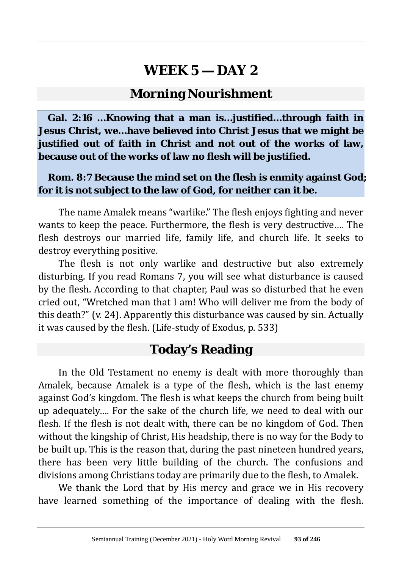### **Morning Nourishment**

**Gal. 2:16 …Knowing that a man is…justified…through faith in Jesus Christ, we…have believed into Christ Jesus that we might be justified out of faith in Christ and not out of the works of law, because out of the works of law no flesh will be justified.**

#### **Rom. 8:7 Because the mind set on the flesh is enmity against God; for it is not subject to the law of God, for neither can it be.**

The name Amalek means "warlike." The flesh enjoys fighting and never wants to keep the peace. Furthermore, the flesh is very destructive…. The flesh destroys our married life, family life, and church life. It seeks to destroy everything positive.

The flesh is not only warlike and destructive but also extremely disturbing. If you read Romans 7, you will see what disturbance is caused by the flesh. According to that chapter, Paul was so disturbed that he even cried out, "Wretched man that I am! Who will deliver me from the body of this death?" (v. 24). Apparently this disturbance was caused by sin. Actually it was caused by the flesh. (Life-study of Exodus, p. 533)

### **Today's Reading**

In the Old Testament no enemy is dealt with more thoroughly than Amalek, because Amalek is a type of the flesh, which is the last enemy against God's kingdom. The flesh is what keeps the church from being built up adequately…. For the sake of the church life, we need to deal with our flesh. If the flesh is not dealt with, there can be no kingdom of God. Then without the kingship of Christ, His headship, there is no way for the Body to be built up. This is the reason that, during the past nineteen hundred years, there has been very little building of the church. The confusions and divisions among Christians today are primarily due to the flesh, to Amalek.

We thank the Lord that by His mercy and grace we in His recovery have learned something of the importance of dealing with the flesh.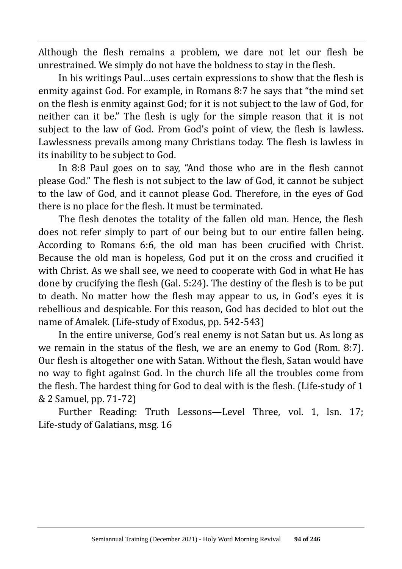Although the flesh remains a problem, we dare not let our flesh be unrestrained. We simply do not have the boldness to stay in the flesh.

In his writings Paul…uses certain expressions to show that the flesh is enmity against God. For example, in Romans 8:7 he says that "the mind set on the flesh is enmity against God; for it is not subject to the law of God, for neither can it be." The flesh is ugly for the simple reason that it is not subject to the law of God. From God's point of view, the flesh is lawless. Lawlessness prevails among many Christians today. The flesh is lawless in its inability to be subject to God.

In 8:8 Paul goes on to say, "And those who are in the flesh cannot please God." The flesh is not subject to the law of God, it cannot be subject to the law of God, and it cannot please God. Therefore, in the eyes of God there is no place for the flesh. It must be terminated.

The flesh denotes the totality of the fallen old man. Hence, the flesh does not refer simply to part of our being but to our entire fallen being. According to Romans 6:6, the old man has been crucified with Christ. Because the old man is hopeless, God put it on the cross and crucified it with Christ. As we shall see, we need to cooperate with God in what He has done by crucifying the flesh (Gal. 5:24). The destiny of the flesh is to be put to death. No matter how the flesh may appear to us, in God's eyes it is rebellious and despicable. For this reason, God has decided to blot out the name of Amalek. (Life-study of Exodus, pp. 542-543)

In the entire universe, God's real enemy is not Satan but us. As long as we remain in the status of the flesh, we are an enemy to God (Rom. 8:7). Our flesh is altogether one with Satan. Without the flesh, Satan would have no way to fight against God. In the church life all the troubles come from the flesh. The hardest thing for God to deal with is the flesh. (Life-study of 1 & 2 Samuel, pp. 71-72)

Further Reading: Truth Lessons—Level Three, vol. 1, lsn. 17; Life-study of Galatians, msg. 16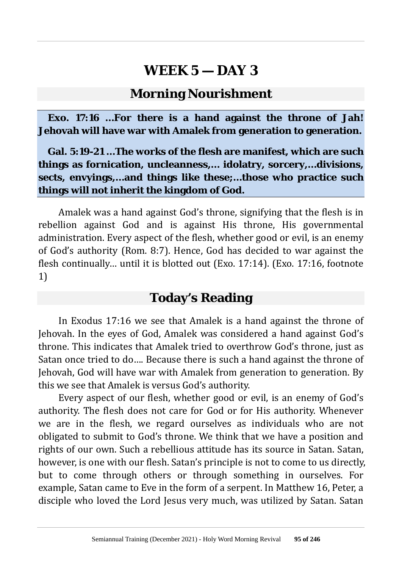#### **Morning Nourishment**

**Exo. 17:16 …For there is a hand against the throne of Jah! Jehovah will have war with Amalek from generation to generation.**

**Gal. 5:19-21 …The works of the flesh are manifest, which are such things as fornication, uncleanness,… idolatry, sorcery,…divisions, sects, envyings,…and things like these;…those who practice such things will not inherit the kingdom of God.**

Amalek was a hand against God's throne, signifying that the flesh is in rebellion against God and is against His throne, His governmental administration. Every aspect of the flesh, whether good or evil, is an enemy of God's authority (Rom. 8:7). Hence, God has decided to war against the flesh continually… until it is blotted out (Exo. 17:14). (Exo. 17:16, footnote 1)

### **Today's Reading**

In Exodus 17:16 we see that Amalek is a hand against the throne of Jehovah. In the eyes of God, Amalek was considered a hand against God's throne. This indicates that Amalek tried to overthrow God's throne, just as Satan once tried to do…. Because there is such a hand against the throne of Jehovah, God will have war with Amalek from generation to generation. By this we see that Amalek is versus God's authority.

Every aspect of our flesh, whether good or evil, is an enemy of God's authority. The flesh does not care for God or for His authority. Whenever we are in the flesh, we regard ourselves as individuals who are not obligated to submit to God's throne. We think that we have a position and rights of our own. Such a rebellious attitude has its source in Satan. Satan, however, is one with our flesh. Satan's principle is not to come to us directly, but to come through others or through something in ourselves. For example, Satan came to Eve in the form of a serpent. In Matthew 16, Peter, a disciple who loved the Lord Jesus very much, was utilized by Satan. Satan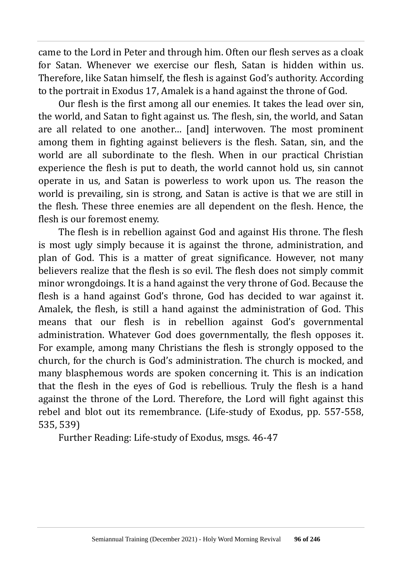came to the Lord in Peter and through him. Often our flesh serves as a cloak for Satan. Whenever we exercise our flesh, Satan is hidden within us. Therefore, like Satan himself, the flesh is against God's authority. According to the portrait in Exodus 17, Amalek is a hand against the throne of God.

Our flesh is the first among all our enemies. It takes the lead over sin, the world, and Satan to fight against us. The flesh, sin, the world, and Satan are all related to one another… [and] interwoven. The most prominent among them in fighting against believers is the flesh. Satan, sin, and the world are all subordinate to the flesh. When in our practical Christian experience the flesh is put to death, the world cannot hold us, sin cannot operate in us, and Satan is powerless to work upon us. The reason the world is prevailing, sin is strong, and Satan is active is that we are still in the flesh. These three enemies are all dependent on the flesh. Hence, the flesh is our foremost enemy.

The flesh is in rebellion against God and against His throne. The flesh is most ugly simply because it is against the throne, administration, and plan of God. This is a matter of great significance. However, not many believers realize that the flesh is so evil. The flesh does not simply commit minor wrongdoings. It is a hand against the very throne of God. Because the flesh is a hand against God's throne, God has decided to war against it. Amalek, the flesh, is still a hand against the administration of God. This means that our flesh is in rebellion against God's governmental administration. Whatever God does governmentally, the flesh opposes it. For example, among many Christians the flesh is strongly opposed to the church, for the church is God's administration. The church is mocked, and many blasphemous words are spoken concerning it. This is an indication that the flesh in the eyes of God is rebellious. Truly the flesh is a hand against the throne of the Lord. Therefore, the Lord will fight against this rebel and blot out its remembrance. (Life-study of Exodus, pp. 557-558, 535, 539)

Further Reading: Life-study of Exodus, msgs. 46-47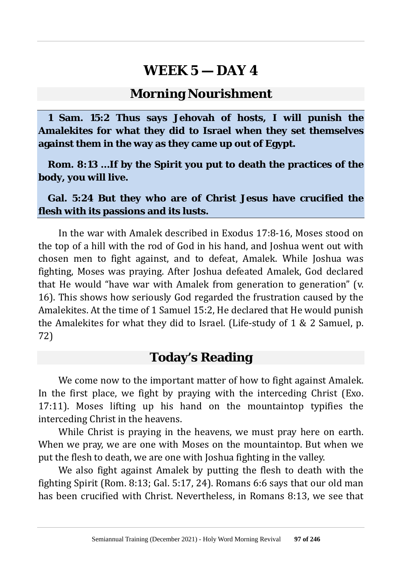#### **Morning Nourishment**

**1 Sam. 15:2 Thus says Jehovah of hosts, I will punish the Amalekites for what they did to Israel when they set themselves against them in the way as they came up out of Egypt.**

**Rom. 8:13 …If by the Spirit you put to death the practices of the body, you will live.**

**Gal. 5:24 But they who are of Christ Jesus have crucified the flesh with its passions and its lusts.**

In the war with Amalek described in Exodus 17:8-16, Moses stood on the top of a hill with the rod of God in his hand, and Joshua went out with chosen men to fight against, and to defeat, Amalek. While Joshua was fighting, Moses was praying. After Joshua defeated Amalek, God declared that He would "have war with Amalek from generation to generation" (v. 16). This shows how seriously God regarded the frustration caused by the Amalekites. At the time of 1 Samuel 15:2, He declared that He would punish the Amalekites for what they did to Israel. (Life-study of 1 & 2 Samuel, p. 72)

### **Today's Reading**

We come now to the important matter of how to fight against Amalek. In the first place, we fight by praying with the interceding Christ (Exo. 17:11). Moses lifting up his hand on the mountaintop typifies the interceding Christ in the heavens.

While Christ is praying in the heavens, we must pray here on earth. When we pray, we are one with Moses on the mountaintop. But when we put the flesh to death, we are one with Joshua fighting in the valley.

We also fight against Amalek by putting the flesh to death with the fighting Spirit (Rom. 8:13; Gal. 5:17, 24). Romans 6:6 says that our old man has been crucified with Christ. Nevertheless, in Romans 8:13, we see that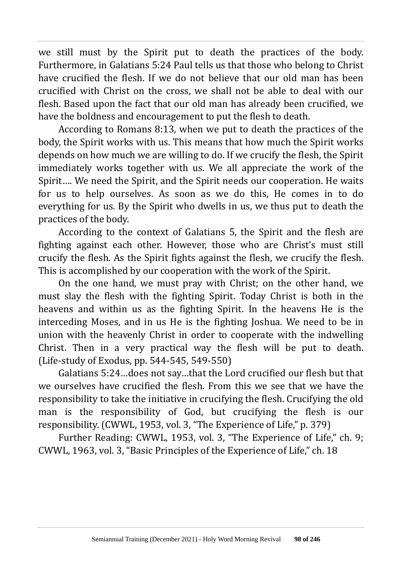we still must by the Spirit put to death the practices of the body. Furthermore, in Galatians 5:24 Paul tells us that those who belong to Christ have crucified the flesh. If we do not believe that our old man has been crucified with Christ on the cross, we shall not be able to deal with our flesh. Based upon the fact that our old man has already been crucified, we have the boldness and encouragement to put the flesh to death.

According to Romans 8:13, when we put to death the practices of the body, the Spirit works with us. This means that how much the Spirit works depends on how much we are willing to do. If we crucify the flesh, the Spirit immediately works together with us. We all appreciate the work of the Spirit…. We need the Spirit, and the Spirit needs our cooperation. He waits for us to help ourselves. As soon as we do this, He comes in to do everything for us. By the Spirit who dwells in us, we thus put to death the practices of the body.

According to the context of Galatians 5, the Spirit and the flesh are fighting against each other. However, those who are Christ's must still crucify the flesh. As the Spirit fights against the flesh, we crucify the flesh. This is accomplished by our cooperation with the work of the Spirit.

On the one hand, we must pray with Christ; on the other hand, we must slay the flesh with the fighting Spirit. Today Christ is both in the heavens and within us as the fighting Spirit. In the heavens He is the interceding Moses, and in us He is the fighting Joshua. We need to be in union with the heavenly Christ in order to cooperate with the indwelling Christ. Then in a very practical way the flesh will be put to death. (Life-study of Exodus, pp. 544-545, 549-550)

Galatians 5:24…does not say…that the Lord crucified our flesh but that we ourselves have crucified the flesh. From this we see that we have the responsibility to take the initiative in crucifying the flesh. Crucifying the old man is the responsibility of God, but crucifying the flesh is our responsibility. (CWWL, 1953, vol. 3, "The Experience of Life," p. 379)

Further Reading: CWWL, 1953, vol. 3, "The Experience of Life," ch. 9; CWWL, 1963, vol. 3, "Basic Principles of the Experience of Life," ch. 18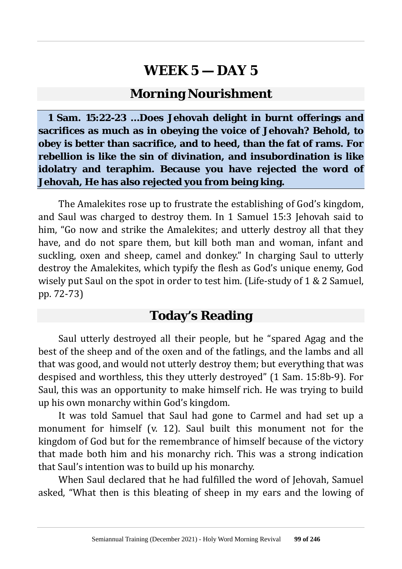### **Morning Nourishment**

**1 Sam. 15:22-23 …Does Jehovah delight in burnt offerings and sacrifices as much as in obeying the voice of Jehovah? Behold, to obey is better than sacrifice, and to heed, than the fat of rams. For rebellion is like the sin of divination, and insubordination is like idolatry and teraphim. Because you have rejected the word of Jehovah, He has also rejected you from being king.**

The Amalekites rose up to frustrate the establishing of God's kingdom, and Saul was charged to destroy them. In 1 Samuel 15:3 Jehovah said to him, "Go now and strike the Amalekites; and utterly destroy all that they have, and do not spare them, but kill both man and woman, infant and suckling, oxen and sheep, camel and donkey." In charging Saul to utterly destroy the Amalekites, which typify the flesh as God's unique enemy, God wisely put Saul on the spot in order to test him. (Life-study of 1 & 2 Samuel, pp. 72-73)

### **Today's Reading**

Saul utterly destroyed all their people, but he "spared Agag and the best of the sheep and of the oxen and of the fatlings, and the lambs and all that was good, and would not utterly destroy them; but everything that was despised and worthless, this they utterly destroyed" (1 Sam. 15:8b-9). For Saul, this was an opportunity to make himself rich. He was trying to build up his own monarchy within God's kingdom.

It was told Samuel that Saul had gone to Carmel and had set up a monument for himself (v. 12). Saul built this monument not for the kingdom of God but for the remembrance of himself because of the victory that made both him and his monarchy rich. This was a strong indication that Saul's intention was to build up his monarchy.

When Saul declared that he had fulfilled the word of Jehovah, Samuel asked, "What then is this bleating of sheep in my ears and the lowing of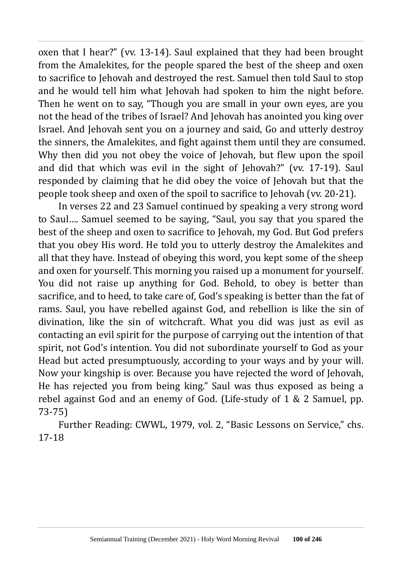oxen that I hear?" (vv. 13-14). Saul explained that they had been brought from the Amalekites, for the people spared the best of the sheep and oxen to sacrifice to Jehovah and destroyed the rest. Samuel then told Saul to stop and he would tell him what Jehovah had spoken to him the night before. Then he went on to say, "Though you are small in your own eyes, are you not the head of the tribes of Israel? And Jehovah has anointed you king over Israel. And Jehovah sent you on a journey and said, Go and utterly destroy the sinners, the Amalekites, and fight against them until they are consumed. Why then did you not obey the voice of Jehovah, but flew upon the spoil and did that which was evil in the sight of Jehovah?" (vv. 17-19). Saul responded by claiming that he did obey the voice of Jehovah but that the people took sheep and oxen of the spoil to sacrifice to Jehovah (vv. 20-21).

In verses 22 and 23 Samuel continued by speaking a very strong word to Saul…. Samuel seemed to be saying, "Saul, you say that you spared the best of the sheep and oxen to sacrifice to Jehovah, my God. But God prefers that you obey His word. He told you to utterly destroy the Amalekites and all that they have. Instead of obeying this word, you kept some of the sheep and oxen for yourself. This morning you raised up a monument for yourself. You did not raise up anything for God. Behold, to obey is better than sacrifice, and to heed, to take care of, God's speaking is better than the fat of rams. Saul, you have rebelled against God, and rebellion is like the sin of divination, like the sin of witchcraft. What you did was just as evil as contacting an evil spirit for the purpose of carrying out the intention of that spirit, not God's intention. You did not subordinate yourself to God as your Head but acted presumptuously, according to your ways and by your will. Now your kingship is over. Because you have rejected the word of Jehovah, He has rejected you from being king." Saul was thus exposed as being a rebel against God and an enemy of God. (Life-study of 1 & 2 Samuel, pp. 73-75)

Further Reading: CWWL, 1979, vol. 2, "Basic Lessons on Service," chs. 17-18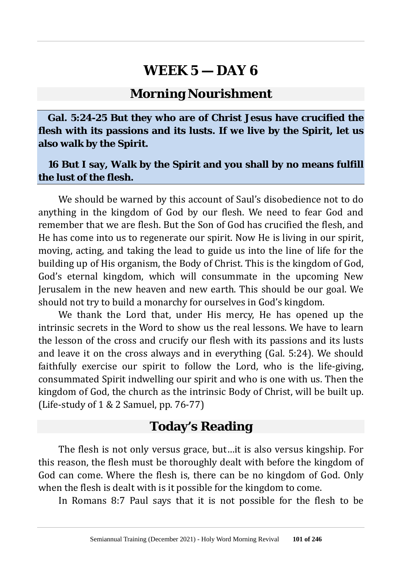#### **Morning Nourishment**

**Gal. 5:24-25 But they who are of Christ Jesus have crucified the flesh with its passions and its lusts. If we live by the Spirit, let us also walk by the Spirit.**

#### **16 But I say, Walk by the Spirit and you shall by no means fulfill the lust of the flesh.**

We should be warned by this account of Saul's disobedience not to do anything in the kingdom of God by our flesh. We need to fear God and remember that we are flesh. But the Son of God has crucified the flesh, and He has come into us to regenerate our spirit. Now He is living in our spirit, moving, acting, and taking the lead to guide us into the line of life for the building up of His organism, the Body of Christ. This is the kingdom of God, God's eternal kingdom, which will consummate in the upcoming New Jerusalem in the new heaven and new earth. This should be our goal. We should not try to build a monarchy for ourselves in God's kingdom.

We thank the Lord that, under His mercy, He has opened up the intrinsic secrets in the Word to show us the real lessons. We have to learn the lesson of the cross and crucify our flesh with its passions and its lusts and leave it on the cross always and in everything (Gal. 5:24). We should faithfully exercise our spirit to follow the Lord, who is the life-giving, consummated Spirit indwelling our spirit and who is one with us. Then the kingdom of God, the church as the intrinsic Body of Christ, will be built up. (Life-study of 1 & 2 Samuel, pp. 76-77)

### **Today's Reading**

The flesh is not only versus grace, but…it is also versus kingship. For this reason, the flesh must be thoroughly dealt with before the kingdom of God can come. Where the flesh is, there can be no kingdom of God. Only when the flesh is dealt with is it possible for the kingdom to come.

In Romans 8:7 Paul says that it is not possible for the flesh to be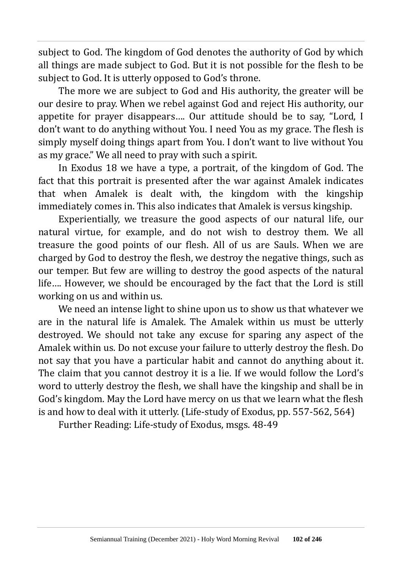subject to God. The kingdom of God denotes the authority of God by which all things are made subject to God. But it is not possible for the flesh to be subject to God. It is utterly opposed to God's throne.

The more we are subject to God and His authority, the greater will be our desire to pray. When we rebel against God and reject His authority, our appetite for prayer disappears…. Our attitude should be to say, "Lord, I don't want to do anything without You. I need You as my grace. The flesh is simply myself doing things apart from You. I don't want to live without You as my grace." We all need to pray with such a spirit.

In Exodus 18 we have a type, a portrait, of the kingdom of God. The fact that this portrait is presented after the war against Amalek indicates that when Amalek is dealt with, the kingdom with the kingship immediately comes in. This also indicates that Amalek is versus kingship.

Experientially, we treasure the good aspects of our natural life, our natural virtue, for example, and do not wish to destroy them. We all treasure the good points of our flesh. All of us are Sauls. When we are charged by God to destroy the flesh, we destroy the negative things, such as our temper. But few are willing to destroy the good aspects of the natural life…. However, we should be encouraged by the fact that the Lord is still working on us and within us.

We need an intense light to shine upon us to show us that whatever we are in the natural life is Amalek. The Amalek within us must be utterly destroyed. We should not take any excuse for sparing any aspect of the Amalek within us. Do not excuse your failure to utterly destroy the flesh. Do not say that you have a particular habit and cannot do anything about it. The claim that you cannot destroy it is a lie. If we would follow the Lord's word to utterly destroy the flesh, we shall have the kingship and shall be in God's kingdom. May the Lord have mercy on us that we learn what the flesh is and how to deal with it utterly. (Life-study of Exodus, pp. 557-562, 564)

Further Reading: Life-study of Exodus, msgs. 48-49